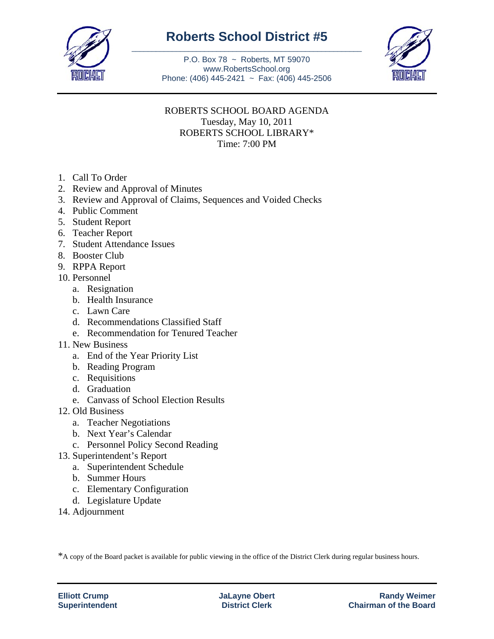

## **Roberts School District #5** \_\_\_\_\_\_\_\_\_\_\_\_\_\_\_\_\_\_\_\_\_\_\_\_\_\_\_\_\_\_\_\_\_\_\_\_\_\_\_\_\_\_\_\_\_\_\_\_\_\_\_\_\_\_\_\_\_

P.O. Box 78 ~ Roberts, MT 59070 www.RobertsSchool.org Phone: (406) 445-2421 ~ Fax: (406) 445-2506



## ROBERTS SCHOOL BOARD AGENDA Tuesday, May 10, 2011 ROBERTS SCHOOL LIBRARY\* Time: 7:00 PM

- 1. Call To Order
- 2. Review and Approval of Minutes
- 3. Review and Approval of Claims, Sequences and Voided Checks
- 4. Public Comment
- 5. Student Report
- 6. Teacher Report
- 7. Student Attendance Issues
- 8. Booster Club
- 9. RPPA Report
- 10. Personnel
	- a. Resignation
	- b. Health Insurance
	- c. Lawn Care
	- d. Recommendations Classified Staff
	- e. Recommendation for Tenured Teacher
- 11. New Business
	- a. End of the Year Priority List
	- b. Reading Program
	- c. Requisitions
	- d. Graduation
	- e. Canvass of School Election Results
- 12. Old Business
	- a. Teacher Negotiations
	- b. Next Year's Calendar
	- c. Personnel Policy Second Reading
- 13. Superintendent's Report
	- a. Superintendent Schedule
	- b. Summer Hours
	- c. Elementary Configuration
	- d. Legislature Update
- 14. Adjournment

\*A copy of the Board packet is available for public viewing in the office of the District Clerk during regular business hours.